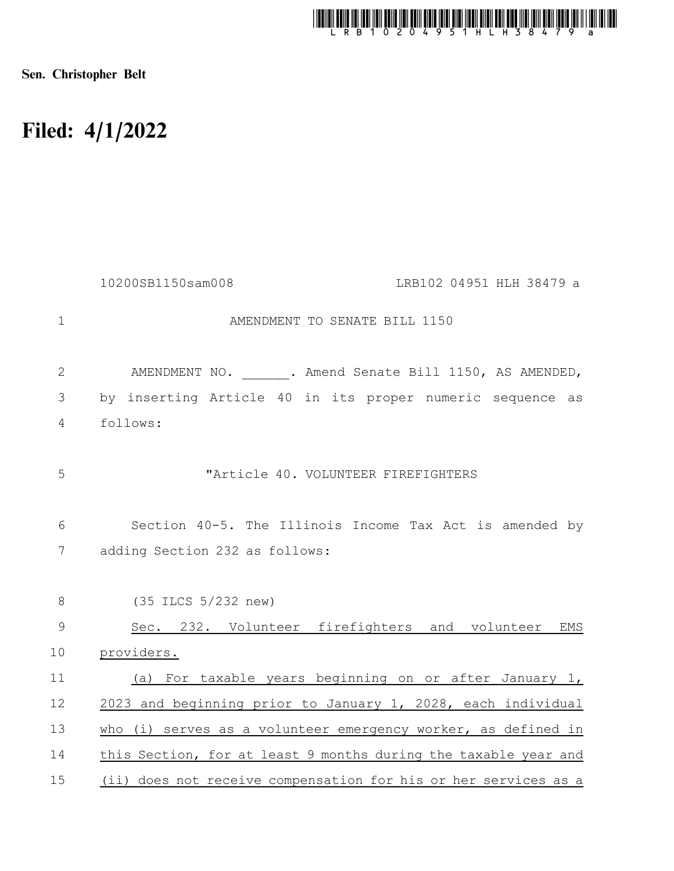

Sen. Christopher Belt

## Filed: 4/1/2022

|                | 10200SB1150sam008<br>LRB102 04951 HLH 38479 a                   |
|----------------|-----------------------------------------------------------------|
| $\mathbf{1}$   | AMENDMENT TO SENATE BILL 1150                                   |
| $\mathbf{2}$   | AMENDMENT NO. . Amend Senate Bill 1150, AS AMENDED,             |
| $\mathfrak{Z}$ | by inserting Article 40 in its proper numeric sequence as       |
| $\overline{4}$ | follows:                                                        |
| 5              | "Article 40. VOLUNTEER FIREFIGHTERS                             |
| 6              | Section 40-5. The Illinois Income Tax Act is amended by         |
| 7              | adding Section 232 as follows:                                  |
| 8              | (35 ILCS 5/232 new)                                             |
| $\mathcal{G}$  | Sec. 232. Volunteer firefighters and volunteer EMS              |
| 10             | providers.                                                      |
| 11             | (a) For taxable years beginning on or after January 1,          |
| 12             | 2023 and beginning prior to January 1, 2028, each individual    |
| 13             | who (i) serves as a volunteer emergency worker, as defined in   |
| 14             | this Section, for at least 9 months during the taxable year and |
| 15             | (ii) does not receive compensation for his or her services as a |